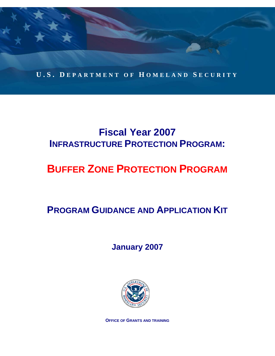

# **Fiscal Year 2007 INFRASTRUCTURE PROTECTION PROGRAM:**

# **BUFFER ZONE PROTECTION PROGRAM**

# **PROGRAM GUIDANCE AND APPLICATION KIT**

**January 2007** 



**OFFICE OF GRANTS AND TRAINING**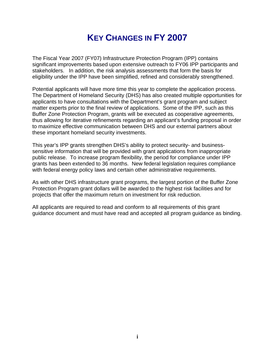# **KEY CHANGES IN FY 2007**

The Fiscal Year 2007 (FY07) Infrastructure Protection Program (IPP) contains significant improvements based upon extensive outreach to FY06 IPP participants and stakeholders. In addition, the risk analysis assessments that form the basis for eligibility under the IPP have been simplified, refined and considerably strengthened.

Potential applicants will have more time this year to complete the application process. The Department of Homeland Security (DHS) has also created multiple opportunities for applicants to have consultations with the Department's grant program and subject matter experts prior to the final review of applications. Some of the IPP, such as this Buffer Zone Protection Program, grants will be executed as cooperative agreements, thus allowing for iterative refinements regarding an applicant's funding proposal in order to maximize effective communication between DHS and our external partners about these important homeland security investments.

This year's IPP grants strengthen DHS's ability to protect security- and businesssensitive information that will be provided with grant applications from inappropriate public release. To increase program flexibility, the period for compliance under IPP grants has been extended to 36 months. New federal legislation requires compliance with federal energy policy laws and certain other administrative requirements.

As with other DHS infrastructure grant programs, the largest portion of the Buffer Zone Protection Program grant dollars will be awarded to the highest risk facilities and for projects that offer the maximum return on investment for risk reduction.

All applicants are required to read and conform to all requirements of this grant guidance document and must have read and accepted all program guidance as binding.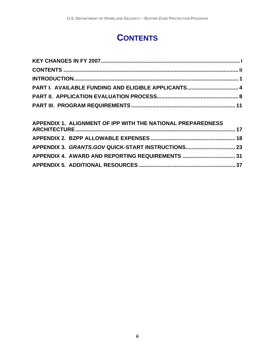# **CONTENTS**

| PART I. AVAILABLE FUNDING AND ELIGIBLE APPLICANTS 4 |  |
|-----------------------------------------------------|--|
|                                                     |  |
|                                                     |  |

| APPENDIX 1. ALIGNMENT OF IPP WITH THE NATIONAL PREPAREDNESS |  |
|-------------------------------------------------------------|--|
|                                                             |  |
|                                                             |  |
|                                                             |  |
|                                                             |  |
|                                                             |  |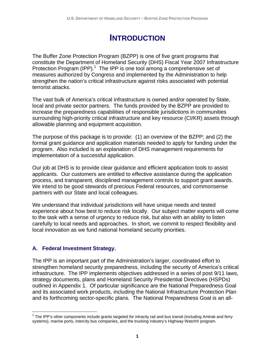# **INTRODUCTION**

The Buffer Zone Protection Program (BZPP) is one of five grant programs that constitute the Department of Homeland Security (DHS) Fiscal Year 2007 Infrastructure Protection Program (IPP). $1$  The IPP is one tool among a comprehensive set of measures authorized by Congress and implemented by the Administration to help strengthen the nation's critical infrastructure against risks associated with potential terrorist attacks.

The vast bulk of America's critical infrastructure is owned and/or operated by State, local and private sector partners. The funds provided by the BZPP are provided to increase the preparedness capabilities of responsible jurisdictions in communities surrounding high-priority critical infrastructure and key resource (CI/KR) assets through allowable planning and equipment acquisition.

The purpose of this package is to provide: (1) an overview of the BZPP; and (2) the formal grant guidance and application materials needed to apply for funding under the program. Also included is an explanation of DHS management requirements for implementation of a successful application.

Our job at DHS is to provide clear guidance and efficient application tools to assist applicants. Our customers are entitled to effective assistance during the application process, and transparent, disciplined management controls to support grant awards. We intend to be good stewards of precious Federal resources, and commonsense partners with our State and local colleagues.

We understand that individual jurisdictions will have unique needs and tested experience about how best to reduce risk locally. Our subject matter experts will come to the task with a sense of urgency to reduce risk, but also with an ability to listen carefully to local needs and approaches. In short, we commit to respect flexibility and local innovation as we fund national homeland security priorities.

# **A. Federal Investment Strategy.**

The IPP is an important part of the Administration's larger, coordinated effort to strengthen homeland security preparedness, including the security of America's critical infrastructure. The IPP implements objectives addressed in a series of post 9/11 laws, strategy documents, plans and Homeland Security Presidential Directives (HSPDs) outlined in Appendix 1. Of particular significance are the National Preparedness Goal and its associated work products, including the National Infrastructure Protection Plan and its forthcoming sector-specific plans. The National Preparedness Goal is an all-

 $\overline{a}$ <sup>1</sup> The IPP's other components include grants targeted for intracity rail and bus transit (including Amtrak and ferry systems), marine ports, intercity bus companies, and the trucking industry's Highway Watch® program.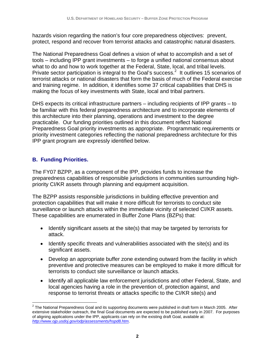hazards vision regarding the nation's four core preparedness objectives: prevent, protect, respond and recover from terrorist attacks and catastrophic natural disasters.

The National Preparedness Goal defines a vision of what to accomplish and a set of tools – including IPP grant investments – to forge a unified national consensus about what to do and how to work together at the Federal, State, local, and tribal levels. Private sector participation is integral to the Goal's success.<sup>2</sup> It outlines 15 scenarios of terrorist attacks or national disasters that form the basis of much of the Federal exercise and training regime. In addition, it identifies some 37 critical capabilities that DHS is making the focus of key investments with State, local and tribal partners.

DHS expects its critical infrastructure partners – including recipients of IPP grants – to be familiar with this federal preparedness architecture and to incorporate elements of this architecture into their planning, operations and investment to the degree practicable. Our funding priorities outlined in this document reflect National Preparedness Goal priority investments as appropriate. Programmatic requirements or priority investment categories reflecting the national preparedness architecture for this IPP grant program are expressly identified below.

# **B. Funding Priorities.**

The FY07 BZPP, as a component of the IPP, provides funds to increase the preparedness capabilities of responsible jurisdictions in communities surrounding highpriority CI/KR assets through planning and equipment acquisition.

The BZPP assists responsible jurisdictions in building effective prevention and protection capabilities that will make it more difficult for terrorists to conduct site surveillance or launch attacks within the immediate vicinity of selected CI/KR assets. These capabilities are enumerated in Buffer Zone Plans (BZPs) that:

- Identify significant assets at the site(s) that may be targeted by terrorists for attack.
- Identify specific threats and vulnerabilities associated with the site(s) and its significant assets.
- Develop an appropriate buffer zone extending outward from the facility in which preventive and protective measures can be employed to make it more difficult for terrorists to conduct site surveillance or launch attacks.
- Identify all applicable law enforcement jurisdictions and other Federal, State, and local agencies having a role in the prevention of, protection against, and response to terrorist threats or attacks specific to the CI/KR site(s) and

 2 The National Preparedness Goal and its supporting documents were published in draft form in March 2005. After extensive stakeholder outreach, the final Goal documents are expected to be published early in 2007. For purposes of aligning applications under the IPP, applicants can rely on the existing draft Goal, available at: *http://www.ojp.usdoj.gov/odp/assessments/hspd8.htm*.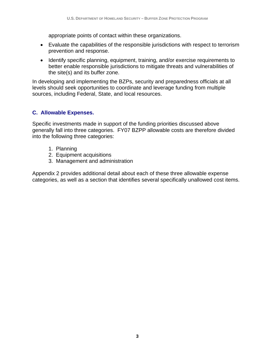appropriate points of contact within these organizations.

- Evaluate the capabilities of the responsible jurisdictions with respect to terrorism prevention and response.
- Identify specific planning, equipment, training, and/or exercise requirements to better enable responsible jurisdictions to mitigate threats and vulnerabilities of the site(s) and its buffer zone.

In developing and implementing the BZPs, security and preparedness officials at all levels should seek opportunities to coordinate and leverage funding from multiple sources, including Federal, State, and local resources.

# **C. Allowable Expenses.**

Specific investments made in support of the funding priorities discussed above generally fall into three categories. FY07 BZPP allowable costs are therefore divided into the following three categories:

- 1. Planning
- 2. Equipment acquisitions
- 3. Management and administration

Appendix 2 provides additional detail about each of these three allowable expense categories, as well as a section that identifies several specifically unallowed cost items.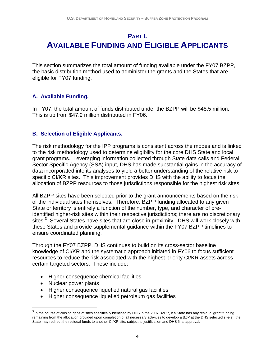# **PART I. AVAILABLE FUNDING AND ELIGIBLE APPLICANTS**

This section summarizes the total amount of funding available under the FY07 BZPP, the basic distribution method used to administer the grants and the States that are eligible for FY07 funding.

# **A. Available Funding.**

In FY07, the total amount of funds distributed under the BZPP will be \$48.5 million. This is up from \$47.9 million distributed in FY06.

## **B. Selection of Eligible Applicants.**

The risk methodology for the IPP programs is consistent across the modes and is linked to the risk methodology used to determine eligibility for the core DHS State and local grant programs. Leveraging information collected through State data calls and Federal Sector Specific Agency (SSA) input, DHS has made substantial gains in the accuracy of data incorporated into its analyses to yield a better understanding of the relative risk to specific CI/KR sites. This improvement provides DHS with the ability to focus the allocation of BZPP resources to those jurisdictions responsible for the highest risk sites.

All BZPP sites have been selected prior to the grant announcements based on the risk of the individual sites themselves. Therefore, BZPP funding allocated to any given State or territory is entirely a function of the number, type, and character of preidentified higher-risk sites within their respective jurisdictions; there are no discretionary sites.<sup>3</sup> Several States have sites that are close in proximity. DHS will work closely with these States and provide supplemental guidance within the FY07 BZPP timelines to ensure coordinated planning.

Through the FY07 BZPP, DHS continues to build on its cross-sector baseline knowledge of CI/KR and the systematic approach initiated in FY06 to focus sufficient resources to reduce the risk associated with the highest priority CI/KR assets across certain targeted sectors. These include:

- Higher consequence chemical facilities
- Nuclear power plants

 $\overline{a}$ 

- Higher consequence liquefied natural gas facilities
- Higher consequence liquefied petroleum gas facilities

 $3$  In the course of closing gaps at sites specifically identified by DHS in the 2007 BZPP, if a State has any residual grant funding remaining from the allocation provided upon completion of all necessary activities to develop a BZP at the DHS selected site(s), the State may redirect the residual funds to another CI/KR site, subject to justification and DHS final approval.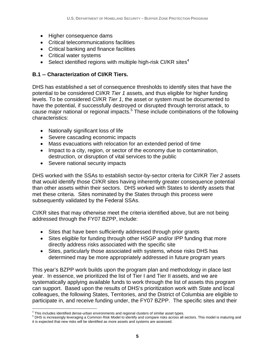- Higher consequence dams
- Critical telecommunications facilities
- Critical banking and finance facilities
- Critical water systems
- Select identified regions with multiple high-risk CI/KR sites<sup>4</sup>

# **B.1 -- Characterization of CI/KR Tiers.**

DHS has established a set of consequence thresholds to identify sites that have the potential to be considered CI/KR *Tier 1* assets, and thus eligible for higher funding levels. To be considered CI/KR *Tier 1*, the asset or system must be documented to have the potential, if successfully destroyed or disrupted through terrorist attack, to cause major national or regional impacts.<sup>5</sup> These include combinations of the following characteristics:

- Nationally significant loss of life
- Severe cascading economic impacts
- Mass evacuations with relocation for an extended period of time
- Impact to a city, region, or sector of the economy due to contamination, destruction, or disruption of vital services to the public
- Severe national security impacts

DHS worked with the SSAs to establish sector-by-sector criteria for CI/KR *Tier 2* assets that would identify those CI/KR sites having inherently greater consequence potential than other assets within their sectors. DHS worked with States to identify assets that met these criteria. Sites nominated by the States through this process were subsequently validated by the Federal SSAs.

CI/KR sites that may otherwise meet the criteria identified above, but are not being addressed through the FY07 BZPP, include:

- Sites that have been sufficiently addressed through prior grants
- Sites eligible for funding through other HSGP and/or IPP funding that more directly address risks associated with the specific site
- Sites, particularly those associated with systems, whose risks DHS has determined may be more appropriately addressed in future program years

This year's BZPP work builds upon the program plan and methodology in place last year. In essence, we prioritized the list of Tier I and Tier II assets, and we are systematically applying available funds to work through the list of assets this program can support. Based upon the results of DHS's prioritization work with State and local colleagues, the following States, Territories, and the District of Columbia are eligible to participate in, and receive funding under, the FY07 BZPP. The specific sites and their

 $\overline{a}$ <sup>4</sup> This includes identified dense-urban environments and regional clusters of similar asset types.<br><sup>5</sup> DLIS is increasingly laugrating a Common Disk Model to identify and compare rights agrees all

<sup>&</sup>lt;sup>5</sup> DHS is increasingly leveraging a Common Risk Model to identify and compare risks across all sectors. This model is maturing and it is expected that new risks will be identified as more assets and systems are assessed.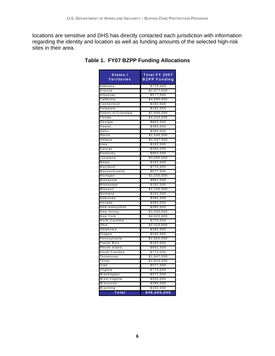locations are sensitive and DHS has directly contacted each jurisdiction with information regarding the identity and location as well as funding amounts of the selected high-risk sites in their area.

| States /<br>Territories     | Total FY 2007<br><b>BZPP Funding</b> |
|-----------------------------|--------------------------------------|
| Alabama                     | \$770,000                            |
| Arizona                     | \$2,077,500                          |
| Arkansas                    | \$577,500                            |
| California                  | \$4,695,000                          |
| Connecticut                 | \$192,500                            |
| Delaware                    | \$192,500                            |
| District of Columbia        | \$1,500,000                          |
| Florida                     | \$2,310,000                          |
| Georgia                     | \$962,500                            |
| Hawaii                      | \$385,000                            |
| Idaho                       | \$385,000                            |
| Illinois                    | \$1,540,000                          |
| Indiana                     | \$1,347,500                          |
| lowa                        | \$192,500                            |
| Kansas                      | \$385,000                            |
| Kentucky                    | \$962,500                            |
| Louisiana                   | \$3,080,000                          |
| Maine                       | \$192,500                            |
| Maryland                    | \$770,000                            |
| Massachusetts               | \$577,500                            |
| Michigan                    | \$1,155,000                          |
| Minnesota                   | \$962,500                            |
| Mississippi                 | \$192,500                            |
| Missouri                    | \$1,155,000                          |
| Montana                     | \$192,500                            |
| Nebraska                    | \$385,000                            |
| Nevada                      | \$385,000                            |
| New Hampshire<br>New Jersey | \$385,000                            |
| New York                    | \$1,540,000                          |
| North Carolina              | \$4,425,000                          |
|                             | \$770,000                            |
| Ohio<br>Oklahoma            | \$2,310,000                          |
|                             | \$385,000<br>\$192,500               |
| Oregon<br>Pennsylvania      | \$1,655,000                          |
| Puerto Rico                 | \$192,500                            |
| Rhode Island                | \$692,500                            |
| South Carolina              | \$770,000                            |
| Tennessee                   | \$1,847,500                          |
| Texas                       | \$2,810,000                          |
| Utah                        | \$577,500                            |
| Virginia                    | \$770,000                            |
| W ashington                 | \$577,500                            |
| <u>West Virginia</u>        | \$500,000                            |
| W isconsin                  | \$385,000                            |
| W yom ing                   | \$192,500                            |
| Total                       | \$48,500,000                         |

**Table 1. FY07 BZPP Funding Allocations**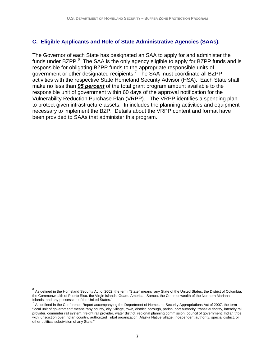## **C. Eligible Applicants and Role of State Administrative Agencies (SAAs).**

The Governor of each State has designated an SAA to apply for and administer the funds under BZPP. $6$  The SAA is the only agency eligible to apply for BZPP funds and is responsible for obligating BZPP funds to the appropriate responsible units of government or other designated recipients.<sup>7</sup> The SAA must coordinate all BZPP activities with the respective State Homeland Security Advisor (HSA). Each State shall make no less than *95 percent* of the total grant program amount available to the responsible unit of government within 60 days of the approval notification for the Vulnerability Reduction Purchase Plan (VRPP). The VRPP identifies a spending plan to protect given infrastructure assets. In includes the planning activities and equipment necessary to implement the BZP. Details about the VRPP content and format have been provided to SAAs that administer this program.

 $\overline{a}$ 

 $6$  As defined in the Homeland Security Act of 2002, the term "State" means "any State of the United States, the District of Columbia, the Commonwealth of Puerto Rico, the Virgin Islands, Guam, American Samoa, the Commonwealth of the Northern Mariana Islands, and any possession of the United States."

<sup>7</sup> As defined in the Conference Report accompanying the Department of Homeland Security Appropriations Act of 2007, the term "local unit of government" means "any county, city, village, town, district, borough, parish, port authority, transit authority, intercity rail provider, commuter rail system, freight rail provider, water district, regional planning commission, council of government, Indian tribe with jurisdiction over Indian country, authorized Tribal organization, Alaska Native village, independent authority, special district, or other political subdivision of any State."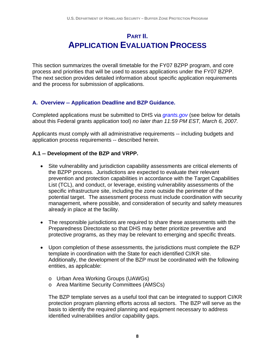# **PART II. APPLICATION EVALUATION PROCESS**

This section summarizes the overall timetable for the FY07 BZPP program, and core process and priorities that will be used to assess applications under the FY07 BZPP. The next section provides detailed information about specific application requirements and the process for submission of applications.

## **A. Overview -- Application Deadline and BZP Guidance.**

Completed applications must be submitted to DHS via *grants.gov* (see below for details about this Federal grants application tool) *no later than 11:59 PM EST, March 6, 2007.* 

Applicants must comply with all administrative requirements -- including budgets and application process requirements -- described herein.

### **A.1 -- Development of the BZP and VRPP.**

- Site vulnerability and jurisdiction capability assessments are critical elements of the BZPP process. Jurisdictions are expected to evaluate their relevant prevention and protection capabilities in accordance with the Target Capabilities List (TCL), and conduct, or leverage, existing vulnerability assessments of the specific infrastructure site, including the zone outside the perimeter of the potential target. The assessment process must include coordination with security management, where possible, and consideration of security and safety measures already in place at the facility.
- The responsible jurisdictions are required to share these assessments with the Preparedness Directorate so that DHS may better prioritize preventive and protective programs, as they may be relevant to emerging and specific threats.
- Upon completion of these assessments, the jurisdictions must complete the BZP template in coordination with the State for each identified CI/KR site. Additionally, the development of the BZP must be coordinated with the following entities, as applicable:
	- o Urban Area Working Groups (UAWGs)
	- o Area Maritime Security Committees (AMSCs)

The BZP template serves as a useful tool that can be integrated to support CI/KR protection program planning efforts across all sectors. The BZP will serve as the basis to identify the required planning and equipment necessary to address identified vulnerabilities and/or capability gaps.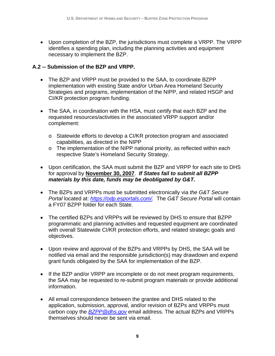• Upon completion of the BZP, the jurisdictions must complete a VRPP. The VRPP identifies a spending plan, including the planning activities and equipment necessary to implement the BZP.

## **A.2 -- Submission of the BZP and VRPP.**

- The BZP and VRPP must be provided to the SAA, to coordinate BZPP implementation with existing State and/or Urban Area Homeland Security Strategies and programs, implementation of the NIPP, and related HSGP and CI/KR protection program funding.
- The SAA, in coordination with the HSA, must certify that each BZP and the requested resources/activities in the associated VRPP support and/or complement:
	- o Statewide efforts to develop a CI/KR protection program and associated capabilities, as directed in the NIPP
	- o The implementation of the NIPP national priority, as reflected within each respective State's Homeland Security Strategy.
- Upon certification, the SAA must submit the BZP and VRPP for each site to DHS for approval by **November 30, 2007**. *If States fail to submit all BZPP materials by this date, funds may be deobligated by G&T.*
- The BZPs and VRPPs must be submitted electronically via *the G&T Secure Portal* located at: *https://odp.esportals.com/.* The *G&T Secure Portal* will contain a FY07 BZPP folder for each State.
- The certified BZPs and VRPPs will be reviewed by DHS to ensure that BZPP programmatic and planning activities and requested equipment are coordinated with overall Statewide CI/KR protection efforts, and related strategic goals and objectives.
- Upon review and approval of the BZPs and VRPPs by DHS, the SAA will be notified via email and the responsible jurisdiction(s) may drawdown and expend grant funds obligated by the SAA for implementation of the BZP.
- If the BZP and/or VRPP are incomplete or do not meet program requirements, the SAA may be requested to re-submit program materials or provide additional information.
- All email correspondence between the grantee and DHS related to the application, submission, approval, and/or revision of BZPs and VRPPs must carbon copy the *BZPP@dhs.gov* email address. The actual BZPs and VRPPs themselves should never be sent via email.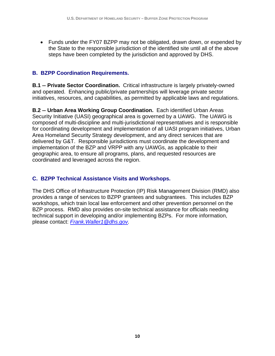• Funds under the FY07 BZPP may not be obligated, drawn down, or expended by the State to the responsible jurisdiction of the identified site until all of the above steps have been completed by the jurisdiction and approved by DHS.

# **B. BZPP Coordination Requirements.**

**B.1 -- Private Sector Coordination.** Critical infrastructure is largely privately-owned and operated. Enhancing public/private partnerships will leverage private sector initiatives, resources, and capabilities, as permitted by applicable laws and regulations.

**B.2 -- Urban Area Working Group Coordination.** Each identified Urban Areas Security Initiative (UASI) geographical area is governed by a UAWG. The UAWG is composed of multi-discipline and multi-jurisdictional representatives and is responsible for coordinating development and implementation of all UASI program initiatives, Urban Area Homeland Security Strategy development, and any direct services that are delivered by G&T. Responsible jurisdictions must coordinate the development and implementation of the BZP and VRPP with any UAWGs, as applicable to their geographic area, to ensure all programs, plans, and requested resources are coordinated and leveraged across the region.

# **C. BZPP Technical Assistance Visits and Workshops.**

The DHS Office of Infrastructure Protection (IP) Risk Management Division (RMD) also provides a range of services to BZPP grantees and subgrantees. This includes BZP workshops, which train local law enforcement and other prevention personnel on the BZP process. RMD also provides on-site technical assistance for officials needing technical support in developing and/or implementing BZPs. For more information, please contact: *Frank.Waller1@dhs.gov.*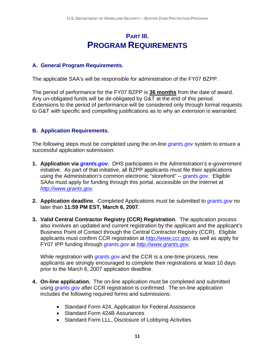# **PART III. PROGRAM REQUIREMENTS**

### **A. General Program Requirements.**

The applicable SAA's will be responsible for administration of the FY07 BZPP.

The period of performance for the FY07 BZPP is **36 months** from the date of award. Any un-obligated funds will be de-obligated by G&T at the end of this period. Extensions to the period of performance will be considered only through formal requests to G&T with specific and compelling justifications as to why an extension is warranted.

### **B. Application Requirements.**

The following steps must be completed using the on-line *grants.gov* system to ensure a successful application submission:

- **1. Application via** *grants.gov***.** DHS participates in the Administration's e-government initiative. As part of that initiative, all BZPP applicants must file their applications using the Administration's common electronic "storefront" -- *grants.gov*. Eligible SAAs must apply for funding through this portal, accessible on the Internet at *http://www.grants.gov.*
- **2. Application deadline**. Completed Applications must be submitted to *grants.gov* no later than **11:59 PM EST, March 6, 2007**.
- **3. Valid Central Contractor Registry (CCR) Registration**. The application process also involves an updated and current registration by the applicant and the applicant's Business Point of Contact through the Central Contractor Registry (CCR). Eligible applicants must confirm CCR registration at *http://www.ccr.gov,* as well as apply for FY07 IPP funding through *grants.gov* at *http://www.grants.gov.*

While registration with *grants.gov* and the CCR is a one-time process, new applicants are strongly encouraged to complete their registrations at least 10 days prior to the March 6, 2007 application deadline.

- **4. On-line application.** The on-line application must be completed and submitted using *grants.gov* after CCR registration is confirmed. The on-line application includes the following required forms and submissions:
	- Standard Form 424, Application for Federal Assistance
	- Standard Form 424B Assurances
	- Standard Form LLL, Disclosure of Lobbying Activities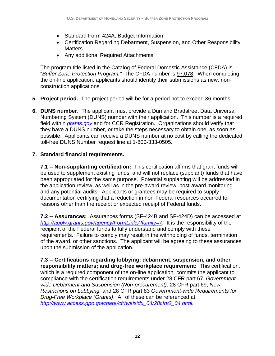- Standard Form 424A, Budget Information
- Certification Regarding Debarment, Suspension, and Other Responsibility **Matters**
- Any additional Required Attachments

The program title listed in the Catalog of Federal Domestic Assistance (CFDA) is "*Buffer Zone Protection Program."* The CFDA number is 97.078. When completing the on-line application, applicants should identify their submissions as new, nonconstruction applications.

- **5. Project period.** The project period will be for a period not to exceed 36 months.
- **6. DUNS number**. The applicant must provide a Dun and Bradstreet Data Universal Numbering System (DUNS) number with their application. This number is a required field within *grants.gov* and for CCR Registration. Organizations should verify that they have a DUNS number, or take the steps necessary to obtain one, as soon as possible. Applicants can receive a DUNS number at no cost by calling the dedicated toll-free DUNS Number request line at 1-800-333-0505.

### **7. Standard financial requirements.**

**7.1 -- Non-supplanting certification:** This certification affirms that grant funds will be used to supplement existing funds, and will not replace (supplant) funds that have been appropriated for the same purpose. Potential supplanting will be addressed in the application review, as well as in the pre-award review, post-award monitoring and any potential audits. Applicants or grantees may be required to supply documentation certifying that a reduction in non-Federal resources occurred for reasons other than the receipt or expected receipt of Federal funds.

**7.2 -- Assurances:** Assurances forms (SF-424B and SF-424D) can be accessed at *http://apply.grants.gov/agency/FormLinks?family=7*. It is the responsibility of the recipient of the Federal funds to fully understand and comply with these requirements. Failure to comply may result in the withholding of funds, termination of the award, or other sanctions. The applicant will be agreeing to these assurances upon the submission of the application.

**7.3 -- Certifications regarding lobbying; debarment, suspension, and other responsibility matters; and drug-free workplace requirement:** This certification, which is a required component of the on-line application, commits the applicant to compliance with the certification requirements under 28 CFR part 67, *Governmentwide Debarment and Suspension (Non-procurement);* 28 CFR part 69, *New Restrictions on Lobbying;* and 28 CFR part 83 *Government-wide Requirements for Drug-Free Workplace (Grants)*. All of these can be referenced at: *http://www.access.gpo.gov/nara/cfr/waisidx\_04/28cfrv2\_04.html.*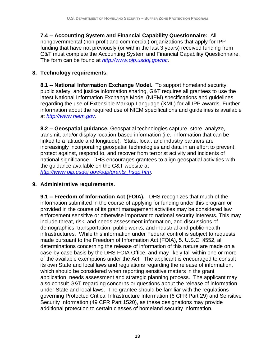**7.4 -- Accounting System and Financial Capability Questionnaire:** All nongovernmental (non-profit and commercial) organizations that apply for IPP funding that have not previously (or within the last 3 years) received funding from G&T must complete the Accounting System and Financial Capability Questionnaire. The form can be found at *http://www.ojp.usdoj.gov/oc*.

## **8. Technology requirements.**

**8.1 -- National Information Exchange Model.** To support homeland security, public safety, and justice information sharing, G&T requires all grantees to use the latest National Information Exchange Model (NIEM) specifications and guidelines regarding the use of Extensible Markup Language (XML) for all IPP awards. Further information about the required use of NIEM specifications and guidelines is available at *http://www.niem.gov*.

**8.2 -- Geospatial guidance.** Geospatial technologies capture, store, analyze, transmit, and/or display location-based information (i.e., information that can be linked to a latitude and longitude). State, local, and industry partners are increasingly incorporating geospatial technologies and data in an effort to prevent, protect against, respond to, and recover from terrorist activity and incidents of national significance. DHS encourages grantees to align geospatial activities with the guidance available on the G&T website at *http://www.ojp.usdoj.gov/odp/grants\_hsgp.htm.*

#### **9. Administrative requirements.**

**9.1 -- Freedom of Information Act (FOIA).** DHS recognizes that much of the information submitted in the course of applying for funding under this program or provided in the course of its grant management activities may be considered law enforcement sensitive or otherwise important to national security interests. This may include threat, risk, and needs assessment information, and discussions of demographics, transportation, public works, and industrial and public health infrastructures. While this information under Federal control is subject to requests made pursuant to the Freedom of Information Act (FOIA), 5. U.S.C. §552, all determinations concerning the release of information of this nature are made on a case-by-case basis by the DHS FOIA Office, and may likely fall within one or more of the available exemptions under the Act. The applicant is encouraged to consult its own State and local laws and regulations regarding the release of information, which should be considered when reporting sensitive matters in the grant application, needs assessment and strategic planning process. The applicant may also consult G&T regarding concerns or questions about the release of information under State and local laws. The grantee should be familiar with the regulations governing Protected Critical Infrastructure Information (6 CFR Part 29) and Sensitive Security Information (49 CFR Part 1520), as these designations may provide additional protection to certain classes of homeland security information.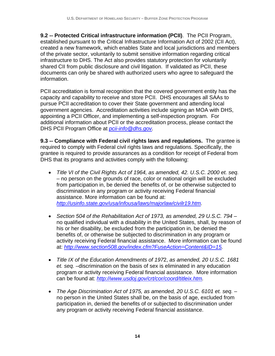**9.2 -- Protected Critical infrastructure information (PCII)**. The PCII Program, established pursuant to the Critical Infrastructure Information Act of 2002 (CII Act), created a new framework, which enables State and local jurisdictions and members of the private sector, voluntarily to submit sensitive information regarding critical infrastructure to DHS. The Act also provides statutory protection for voluntarily shared CII from public disclosure and civil litigation. If validated as PCII, these documents can only be shared with authorized users who agree to safeguard the information.

PCII accreditation is formal recognition that the covered government entity has the capacity and capability to receive and store PCII. DHS encourages all SAAs to pursue PCII accreditation to cover their State government and attending local government agencies. Accreditation activities include signing an MOA with DHS, appointing a PCII Officer, and implementing a self-inspection program. For additional information about PCII or the accreditation process, please contact the DHS PCII Program Office at *pcii-info@dhs.gov.*

**9.3 -- Compliance with Federal civil rights laws and regulations.** The grantee is required to comply with Federal civil rights laws and regulations. Specifically, the grantee is required to provide assurances as a condition for receipt of Federal from DHS that its programs and activities comply with the following:

- *Title VI of the Civil Rights Act of 1964, as amended, 42. U.S.C. 2000 et. seq.*  – no person on the grounds of race, color or national origin will be excluded from participation in, be denied the benefits of, or be otherwise subjected to discrimination in any program or activity receiving Federal financial assistance. More information can be found at: *http://usinfo.state.gov/usa/infousa/laws/majorlaw/civilr19.htm.*
- *Section 504 of the Rehabilitation Act of 1973, as amended, 29 U.S.C. 794*  no qualified individual with a disability in the United States, shall, by reason of his or her disability, be excluded from the participation in, be denied the benefits of, or otherwise be subjected to discrimination in any program or activity receiving Federal financial assistance. More information can be found at: *http://www.section508.gov/index.cfm?FuseAction=Content&ID=15.*
- *Title IX of the Education Amendments of 197*2, *as amended, 20 U.S.C. 1681 et. seq.* –discrimination on the basis of sex is eliminated in any education program or activity receiving Federal financial assistance. More information can be found at: *http://www.usdoj.gov/crt/cor/coord/titleix.htm.*
- The Age Discrimination Act of 1975, as amended, 20 U.S.C. 6101 et. seq. no person in the United States shall be, on the basis of age, excluded from participation in, denied the benefits of or subjected to discrimination under any program or activity receiving Federal financial assistance.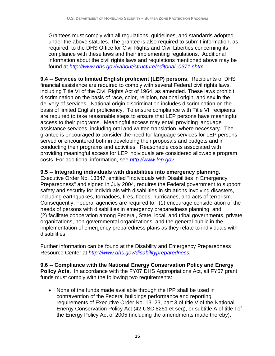Grantees must comply with all regulations, guidelines, and standards adopted under the above statutes. The grantee is also required to submit information, as required, to the DHS Office for Civil Rights and Civil Liberties concerning its compliance with these laws and their implementing regulations. Additional information about the civil rights laws and regulations mentioned above may be found at *http://www.dhs.gov/xabout/structure/editorial\_0371.shtm*.

**9.4 -- Services to limited English proficient (LEP) persons**. Recipients of DHS financial assistance are required to comply with several Federal civil rights laws, including Title VI of the Civil Rights Act of 1964, as amended. These laws prohibit discrimination on the basis of race, color, religion, national origin, and sex in the delivery of services. National origin discrimination includes discrimination on the basis of limited English proficiency. To ensure compliance with Title VI, recipients are required to take reasonable steps to ensure that LEP persons have meaningful access to their programs. Meaningful access may entail providing language assistance services, including oral and written translation, where necessary. The grantee is encouraged to consider the need for language services for LEP persons served or encountered both in developing their proposals and budgets and in conducting their programs and activities. Reasonable costs associated with providing meaningful access for LEP individuals are considered allowable program costs. For additional information, see *http://www.lep.gov*.

## **9.5 -- Integrating individuals with disabilities into emergency planning**.

Executive Order No. 13347, entitled "Individuals with Disabilities in Emergency Preparedness" and signed in July 2004, requires the Federal government to support safety and security for individuals with disabilities in situations involving disasters, including earthquakes, tornadoes, fires, floods, hurricanes, and acts of terrorism. Consequently, Federal agencies are required to: (1) encourage consideration of the needs of persons with disabilities in emergency preparedness planning; and (2) facilitate cooperation among Federal, State, local, and tribal governments, private organizations, non-governmental organizations, and the general public in the implementation of emergency preparedness plans as they relate to individuals with disabilities.

Further information can be found at the Disability and Emergency Preparedness Resource Center at *http://www.dhs.gov/disabilitypreparedness.*

**9.6 -- Compliance with the National Energy Conservation Policy and Energy Policy Acts.** In accordance with the FY07 DHS Appropriations Act, all FY07 grant funds must comply with the following two requirements:

• None of the funds made available through the IPP shall be used in contravention of the Federal buildings performance and reporting requirements of Executive Order No. 13123, part 3 of title V of the National Energy Conservation Policy Act (42 USC 8251 et seq), or subtitle A of title I of the Energy Policy Act of 2005 (including the amendments made thereby)**.**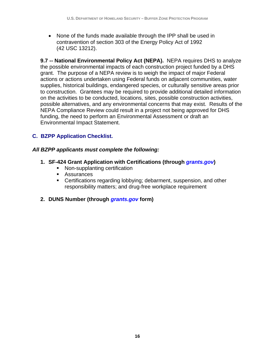• None of the funds made available through the IPP shall be used in contravention of section 303 of the Energy Policy Act of 1992 (42 USC 13212).

**9.7 -- National Environmental Policy Act (NEPA).** NEPA requires DHS to analyze the possible environmental impacts of each construction project funded by a DHS grant. The purpose of a NEPA review is to weigh the impact of major Federal actions or actions undertaken using Federal funds on adjacent communities, water supplies, historical buildings, endangered species, or culturally sensitive areas prior to construction. Grantees may be required to provide additional detailed information on the activities to be conducted, locations, sites, possible construction activities, possible alternatives, and any environmental concerns that may exist. Results of the NEPA Compliance Review could result in a project not being approved for DHS funding, the need to perform an Environmental Assessment or draft an Environmental Impact Statement.

# **C. BZPP Application Checklist.**

## *All BZPP applicants must complete the following:*

- **1. SF-424 Grant Application with Certifications (through** *grants.gov***)** 
	- Non-supplanting certification
	- **Assurances**
	- Certifications regarding lobbying; debarment, suspension, and other responsibility matters; and drug-free workplace requirement
- **2. DUNS Number (through** *grants.gov* **form)**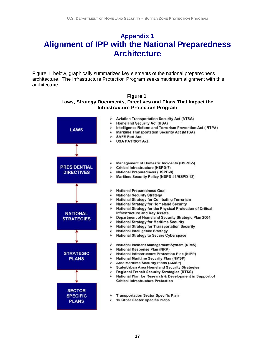# **Appendix 1 Alignment of IPP with the National Preparedness Architecture**

Figure 1, below, graphically summarizes key elements of the national preparedness architecture. The Infrastructure Protection Program seeks maximum alignment with this architecture.



#### **Figure 1. Laws, Strategy Documents, Directives and Plans That Impact the Infrastructure Protection Program**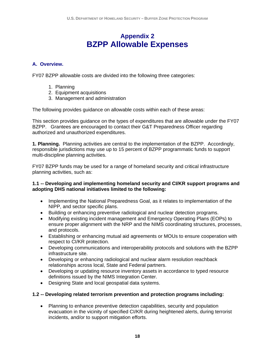# **Appendix 2 BZPP Allowable Expenses**

#### **A. Overview.**

FY07 BZPP allowable costs are divided into the following three categories:

- 1. Planning
- 2. Equipment acquisitions
- 3. Management and administration

The following provides guidance on allowable costs within each of these areas:

This section provides guidance on the types of expenditures that are allowable under the FY07 BZPP. Grantees are encouraged to contact their G&T Preparedness Officer regarding authorized and unauthorized expenditures.

**1. Planning.** Planning activities are central to the implementation of the BZPP. Accordingly, responsible jurisdictions may use up to 15 percent of BZPP programmatic funds to support multi-discipline planning activities.

FY07 BZPP funds may be used for a range of homeland security and critical infrastructure planning activities, such as:

#### **1.1 -- Developing and implementing homeland security and CI/KR support programs and adopting DHS national initiatives limited to the following:**

- Implementing the National Preparedness Goal, as it relates to implementation of the NIPP, and sector specific plans.
- Building or enhancing preventive radiological and nuclear detection programs.
- Modifying existing incident management and Emergency Operating Plans (EOPs) to ensure proper alignment with the NRP and the NIMS coordinating structures, processes, and protocols.
- Establishing or enhancing mutual aid agreements or MOUs to ensure cooperation with respect to CI/KR protection.
- Developing communications and interoperability protocols and solutions with the BZPP infrastructure site.
- Developing or enhancing radiological and nuclear alarm resolution reachback relationships across local, State and Federal partners.
- Developing or updating resource inventory assets in accordance to typed resource definitions issued by the NIMS Integration Center.
- Designing State and local geospatial data systems.

#### **1.2 -- Developing related terrorism prevention and protection programs including:**

• Planning to enhance preventive detection capabilities, security and population evacuation in the vicinity of specified CI/KR during heightened alerts, during terrorist incidents, and/or to support mitigation efforts.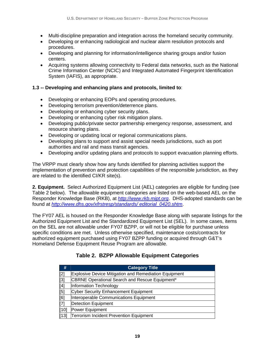- Multi-discipline preparation and integration across the homeland security community.
- Developing or enhancing radiological and nuclear alarm resolution protocols and procedures.
- Developing and planning for information/intelligence sharing groups and/or fusion centers.
- Acquiring systems allowing connectivity to Federal data networks, such as the National Crime Information Center (NCIC) and Integrated Automated Fingerprint Identification System (IAFIS), as appropriate.

#### **1.3 -- Developing and enhancing plans and protocols, limited to**:

- Developing or enhancing EOPs and operating procedures.
- Developing terrorism prevention/deterrence plans.
- Developing or enhancing cyber security plans.
- Developing or enhancing cyber risk mitigation plans.
- Developing public/private sector partnership emergency response, assessment, and resource sharing plans.
- Developing or updating local or regional communications plans.
- Developing plans to support and assist special needs jurisdictions, such as port authorities and rail and mass transit agencies.
- Developing and/or updating plans and protocols to support evacuation planning efforts.

The VRPP must clearly show how any funds identified for planning activities support the implementation of prevention and protection capabilities of the responsible jurisdiction, as they are related to the identified CI/KR site(s).

**2. Equipment.** Select Authorized Equipment List (AEL) categories are eligible for funding (see Table 2 below). The allowable equipment categories are listed on the web-based AEL on the Responder Knowledge Base (RKB), at *http://www.rkb.mipt.org*. DHS-adopted standards can be found at *http://www.dhs.gov/xfrstresp/standards/ editorial\_0420.shtm*.

The FY07 AEL is housed on the Responder Knowledge Base along with separate listings for the Authorized Equipment List and the Standardized Equipment List (SEL). In some cases, items on the SEL are not allowable under FY07 BZPP, or will not be eligible for purchase unless specific conditions are met. Unless otherwise specified, maintenance costs/contracts for authorized equipment purchased using FY07 BZPP funding or acquired through G&T's Homeland Defense Equipment Reuse Program are allowable.

| <b>Category Title</b>                                        |
|--------------------------------------------------------------|
| <b>Explosive Device Mitigation and Remediation Equipment</b> |
| CBRNE Operational Search and Rescue Equipment*               |
| Information Technology                                       |
| <b>Cyber Security Enhancement Equipment</b>                  |
| Interoperable Communications Equipment                       |
| <b>Detection Equipment</b>                                   |
| Power Equipment                                              |
| <b>Terrorism Incident Prevention Equipment</b>               |
|                                                              |

#### **Table 2. BZPP Allowable Equipment Categories**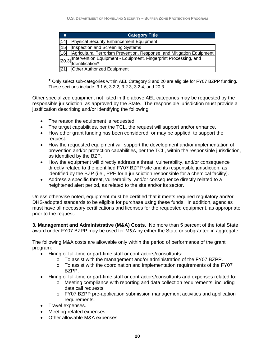| #    | <b>Category Title</b>                                                                             |
|------|---------------------------------------------------------------------------------------------------|
| [14] | Physical Security Enhancement Equipment                                                           |
| [15] | Inspection and Screening Systems                                                                  |
| [16] | Agricultural Terrorism Prevention, Response, and Mitigation Equipment                             |
|      | [20.3] Intervention Equipment - Equipment, Fingerprint Processing, and<br> [20.3] Identification* |
| [21] | <b>Other Authorized Equipment</b>                                                                 |

**\*** Only select sub-categories within AEL Category 3 and 20 are eligible for FY07 BZPP funding. These sections include: 3.1.6, 3.2.2, 3.2.3, 3.2.4, and 20.3.

Other specialized equipment not listed in the above AEL categories may be requested by the responsible jurisdiction, as approved by the State. The responsible jurisdiction must provide a justification describing and/or identifying the following:

- The reason the equipment is requested.
- The target capabilities, per the TCL, the request will support and/or enhance.
- How other grant funding has been considered, or may be applied, to support the request.
- How the requested equipment will support the development and/or implementation of prevention and/or protection capabilities, per the TCL, within the responsible jurisdiction, as identified by the BZP.
- How the equipment will directly address a threat, vulnerability, and/or consequence directly related to the identified FY07 BZPP site and its responsible jurisdiction, as identified by the BZP (i.e., PPE for a jurisdiction responsible for a chemical facility).
- Address a specific threat, vulnerability, and/or consequence directly related to a heightened alert period, as related to the site and/or its sector.

Unless otherwise noted, equipment must be certified that it meets required regulatory and/or DHS-adopted standards to be eligible for purchase using these funds. In addition, agencies must have all necessary certifications and licenses for the requested equipment, as appropriate, prior to the request.

**3. Management and Administrative (M&A) Costs.** No more than 5 percent of the total State award under FY07 BZPP may be used for M&A by either the State or subgrantee in aggregate.

The following M&A costs are allowable only within the period of performance of the grant program:

- Hiring of full-time or part-time staff or contractors/consultants:
	- o To assist with the management and/or administration of the FY07 BZPP.
	- o To assist with the coordination and implementation requirements of the FY07 BZPP.
- Hiring of full-time or part-time staff or contractors/consultants and expenses related to:
	- o Meeting compliance with reporting and data collection requirements, including data call requests.
	- o FY07 BZPP pre-application submission management activities and application requirements.
- Travel expenses.
- Meeting-related expenses.
- Other allowable M&A expenses: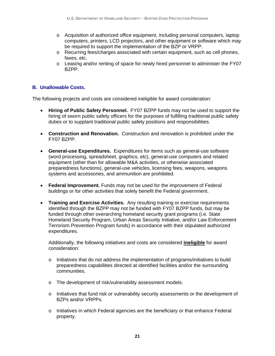- o Acquisition of authorized office equipment, including personal computers, laptop computers, printers, LCD projectors, and other equipment or software which may be required to support the implementation of the BZP or VRPP.
- o Recurring fees/charges associated with certain equipment, such as cell phones, faxes, etc.
- o Leasing and/or renting of space for newly hired personnel to administer the FY07 BZPP.

#### **B. Unallowable Costs.**

The following projects and costs are considered ineligible for award consideration:

- **Hiring of Public Safety Personnel.** FY07 BZPP funds may not be used to support the hiring of sworn public safety officers for the purposes of fulfilling traditional public safety duties or to supplant traditional public safety positions and responsibilities.
- **Construction and Renovation.** Construction and renovation is prohibited under the FY07 BZPP.
- **General-use Expenditures.** Expenditures for items such as general-use software (word processing, spreadsheet, graphics, etc), general-use computers and related equipment (other than for allowable M&A activities, or otherwise associated preparedness functions), general-use vehicles, licensing fees, weapons, weapons systems and accessories, and ammunition are prohibited.
- **Federal Improvement.** Funds may not be used for the improvement of Federal buildings or for other activities that solely benefit the Federal government.
- **Training and Exercise Activities.** Any resulting training or exercise requirements identified through the BZPP may not be funded with FY07 BZPP funds, but may be funded through other overarching homeland security grant programs (i.e. State Homeland Security Program, Urban Areas Security Initiative, and/or Law Enforcement Terrorism Prevention Program funds) in accordance with their stipulated authorized expenditures.

Additionally, the following initiatives and costs are considered **ineligible** for award consideration:

- o Initiatives that do not address the implementation of programs/initiatives to build preparedness capabilities directed at identified facilities and/or the surrounding communities.
- o The development of risk/vulnerability assessment models.
- $\circ$  Initiatives that fund risk or vulnerability security assessments or the development of BZPs and/or VRPPs.
- $\circ$  Initiatives in which Federal agencies are the beneficiary or that enhance Federal property.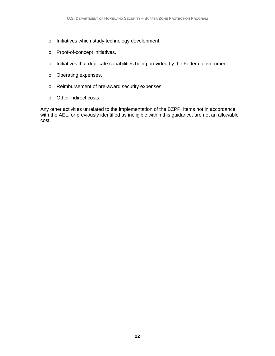- o Initiatives which study technology development.
- o Proof-of-concept initiatives.
- o Initiatives that duplicate capabilities being provided by the Federal government.
- o Operating expenses.
- o Reimbursement of pre-award security expenses.
- o Other indirect costs.

Any other activities unrelated to the implementation of the BZPP, items not in accordance with the AEL, or previously identified as ineligible within this guidance, are not an allowable cost.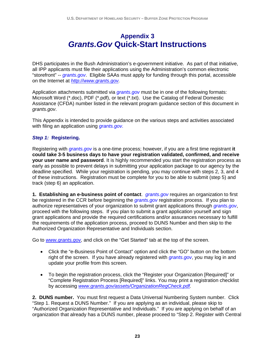# **Appendix 3**  *Grants.Gov* **Quick-Start Instructions**

DHS participates in the Bush Administration's e-government initiative. As part of that initiative, all IPP applicants must file their applications using the Administration's common electronic "storefront" -- *grants.gov*. Eligible SAAs must apply for funding through this portal, accessible on the Internet at *http://www.grants.gov.*

Application attachments submitted via *grants.gov* must be in one of the following formats: Microsoft Word (\*.doc), PDF (\*.pdf), or text (\*.txt). Use the Catalog of Federal Domestic Assistance (CFDA) number listed in the relevant program guidance section of this document in *grants.gov*.

This Appendix is intended to provide guidance on the various steps and activities associated with filing an application using *grants.gov.* 

#### *Step 1:* **Registering.**

Registering with *grants.gov* is a one-time process; however, if you are a first time registrant **it could take 3-5 business days to have your registration validated, confirmed, and receive your user name and password**. It is highly recommended you start the registration process as early as possible to prevent delays in submitting your application package to our agency by the deadline specified. While your registration is pending, you may continue with steps 2, 3, and 4 of these instructions. Registration must be complete for you to be able to submit (step 5) and track (step 6) an application.

**1. Establishing an e-business point of contact**. *grants.gov* requires an organization to first be registered in the CCR before beginning the *grants.gov* registration process. If you plan to authorize representatives of your organization to submit grant applications through *grants.gov*, proceed with the following steps. If you plan to submit a grant application yourself and sign grant applications and provide the required certifications and/or assurances necessary to fulfill the requirements of the application process, proceed to DUNS Number and then skip to the Authorized Organization Representative and Individuals section.

Go to *www.grants.gov,* and click on the "Get Started" tab at the top of the screen.

- Click the "e-Business Point of Contact" option and click the "GO" button on the bottom right of the screen. If you have already registered with *grants.gov*, you may log in and update your profile from this screen.
- To begin the registration process, click the "Register your Organization [Required]" or "Complete Registration Process [Required]" links. You may print a registration checklist by accessing *www.grants.gov/assets/OrganizationRegCheck.pdf.*

**2. DUNS number.** You must first request a Data Universal Numbering System number. Click "Step 1. Request a DUNS Number." If you are applying as an individual, please skip to "Authorized Organization Representative and Individuals." If you are applying on behalf of an organization that already has a DUNS number, please proceed to "Step 2. Register with Central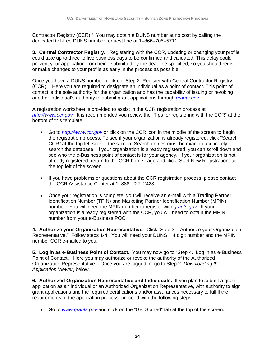Contractor Registry (CCR)." You may obtain a DUNS number at no cost by calling the dedicated toll-free DUNS number request line at 1–866–705–5711.

**3. Central Contractor Registry.** Registering with the CCR, updating or changing your profile could take up to three to five business days to be confirmed and validated. This delay could prevent your application from being submitted by the deadline specified, so you should register or make changes to your profile as early in the process as possible.

Once you have a DUNS number, click on "Step 2. Register with Central Contractor Registry (CCR)." Here you are required to designate an individual as a point of contact. This point of contact is the sole authority for the organization and has the capability of issuing or revoking another individual's authority to submit grant applications through *grants.gov*.

A registration worksheet is provided to assist in the CCR registration process at *http://www.ccr.gov.* It is recommended you review the "Tips for registering with the CCR" at the bottom of this template.

- Go to *http://www.ccr.gov* or click on the CCR icon in the middle of the screen to begin the registration process. To see if your organization is already registered, click "Search CCR" at the top left side of the screen. Search entries must be exact to accurately search the database. If your organization is already registered, you can scroll down and see who the e-Business point of contact is for your agency. If your organization is not already registered, return to the CCR home page and click "Start New Registration" at the top left of the screen.
- If you have problems or questions about the CCR registration process, please contact the CCR Assistance Center at 1–888–227–2423.
- Once your registration is complete, you will receive an e-mail with a Trading Partner Identification Number (TPIN) and Marketing Partner Identification Number (MPIN) number. You will need the MPIN number to register with *grants.gov*. If your organization is already registered with the CCR, you will need to obtain the MPIN number from your e-Business POC.

**4. Authorize your Organization Representative.** Click "Step 3. Authorize your Organization Representative." Follow steps 1-4. You will need your DUNS + 4 digit number and the MPIN number CCR e-mailed to you.

**5. Log in as e-Business Point of Contact.** You may now go to "Step 4. Log in as e-Business Point of Contact." Here you may authorize or revoke the authority of the Authorized Organization Representative. Once you are logged in, go to Step 2. *Downloading the Application Viewer*, below.

**6. Authorized Organization Representative and Individuals.** If you plan to submit a grant application as an individual or an Authorized Organization Representative, with authority to sign grant applications and the required certifications and/or assurances necessary to fulfill the requirements of the application process, proceed with the following steps:

• Go to *www.grants.gov* and click on the "Get Started" tab at the top of the screen.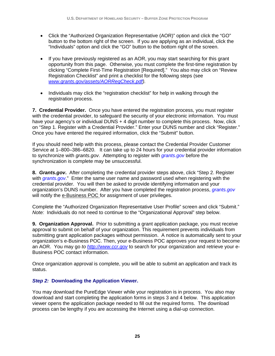- Click the "Authorized Organization Representative (AOR)" option and click the "GO" button to the bottom right of the screen. If you are applying as an individual, click the "Individuals" option and click the "GO" button to the bottom right of the screen.
- If you have previously registered as an AOR, you may start searching for this grant opportunity from this page. Otherwise, you must complete the first-time registration by clicking "Complete First-Time Registration [Required]." You also may click on "Review Registration Checklist" and print a checklist for the following steps (see *www.grants.gov/assets/AORRegCheck.pdf).*
- Individuals may click the "registration checklist" for help in walking through the registration process.

**7. Credential Provider.** Once you have entered the registration process, you must register with the credential provider, to safeguard the security of your electronic information. You must have your agency's or individual DUNS + 4 digit number to complete this process. Now, click on "Step 1. Register with a Credential Provider." Enter your DUNS number and click "Register." Once you have entered the required information, click the "Submit" button.

If you should need help with this process, please contact the Credential Provider Customer Service at 1–800–386–6820. It can take up to 24 hours for your credential provider information to synchronize with *grants.gov*. Attempting to register with *grants.gov* before the synchronization is complete may be unsuccessful.

**8.** *Grants.gov***.** After completing the credential provider steps above, click "Step 2. Register with *grants.gov*." Enter the same user name and password used when registering with the credential provider. You will then be asked to provide identifying information and your organization's DUNS number. After you have completed the registration process, *grants.gov* will notify the e-Business POC for assignment of user privileges.

Complete the "Authorized Organization Representative User Profile" screen and click "Submit." *Note:*Individuals do not need to continue to the "Organizational Approval" step below.

**9. Organization Approval.** Prior to submitting a grant application package, you must receive approval to submit on behalf of your organization. This requirement prevents individuals from submitting grant application packages without permission. A notice is automatically sent to your organization's e-Business POC. Then, your e-Business POC approves your request to become an AOR. You may go *to http://www.ccr.gov* to search for your organization and retrieve your e-Business POC contact information.

Once organization approval is complete, you will be able to submit an application and track its status.

#### *Step 2:* **Downloading the Application Viewer.**

You may download the PureEdge Viewer while your registration is in process. You also may download and start completing the application forms in steps 3 and 4 below. This application viewer opens the application package needed to fill out the required forms. The download process can be lengthy if you are accessing the Internet using a dial-up connection.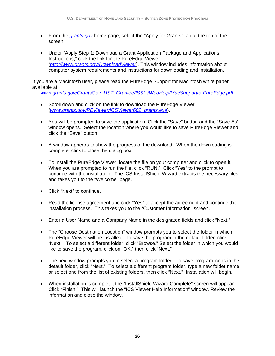- From the *grants.gov* home page, select the "Apply for Grants" tab at the top of the screen.
- Under "Apply Step 1: Download a Grant Application Package and Applications Instructions," click the link for the PureEdge Viewer (*http://www.grants.gov/DownloadViewer*). This window includes information about computer system requirements and instructions for downloading and installation.

If you are a Macintosh user, please read the PureEdge Support for Macintosh white paper available at

*www.grants.gov/GrantsGov\_UST\_Grantee/!SSL!/WebHelp/MacSupportforPureEdge.pdf*.

- Scroll down and click on the link to download the PureEdge Viewer (*www.grants.gov/PEViewer/ICSViewer602\_grants.exe*).
- You will be prompted to save the application. Click the "Save" button and the "Save As" window opens. Select the location where you would like to save PureEdge Viewer and click the "Save" button.
- A window appears to show the progress of the download. When the downloading is complete, click to close the dialog box.
- To install the PureEdge Viewer, locate the file on your computer and click to open it. When you are prompted to run the file, click "RUN." Click "Yes" to the prompt to continue with the installation. The ICS InstallShield Wizard extracts the necessary files and takes you to the "Welcome" page.
- Click "Next" to continue.
- Read the license agreement and click "Yes" to accept the agreement and continue the installation process. This takes you to the "Customer Information" screen.
- Enter a User Name and a Company Name in the designated fields and click "Next."
- The "Choose Destination Location" window prompts you to select the folder in which PureEdge Viewer will be installed. To save the program in the default folder, click "Next." To select a different folder, click "Browse." Select the folder in which you would like to save the program, click on "OK," then click "Next."
- The next window prompts you to select a program folder. To save program icons in the default folder, click "Next." To select a different program folder, type a new folder name or select one from the list of existing folders, then click "Next." Installation will begin.
- When installation is complete, the "InstallShield Wizard Complete" screen will appear. Click "Finish." This will launch the "ICS Viewer Help Information" window. Review the information and close the window.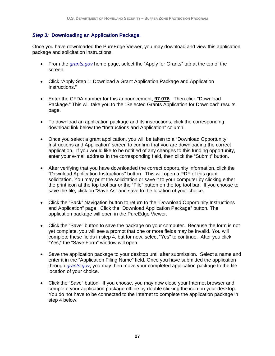#### *Step 3:* **Downloading an Application Package.**

Once you have downloaded the PureEdge Viewer, you may download and view this application package and solicitation instructions.

- From the *grants.gov* home page, select the "Apply for Grants" tab at the top of the screen.
- Click "Apply Step 1: Download a Grant Application Package and Application Instructions."
- Enter the CFDA number for this announcement, **97.078**. Then click "Download Package." This will take you to the "Selected Grants Application for Download" results page.
- To download an application package and its instructions, click the corresponding download link below the "Instructions and Application" column.
- Once you select a grant application, you will be taken to a "Download Opportunity Instructions and Application" screen to confirm that you are downloading the correct application. If you would like to be notified of any changes to this funding opportunity, enter your e-mail address in the corresponding field, then click the "Submit" button.
- After verifying that you have downloaded the correct opportunity information, click the "Download Application Instructions" button. This will open a PDF of this grant solicitation. You may print the solicitation or save it to your computer by clicking either the print icon at the top tool bar or the "File" button on the top tool bar. If you choose to save the file, click on "Save As" and save to the location of your choice.
- Click the "Back" Navigation button to return to the "Download Opportunity Instructions and Application" page. Click the "Download Application Package" button. The application package will open in the PureEdge Viewer.
- Click the "Save" button to save the package on your computer. Because the form is not yet complete, you will see a prompt that one or more fields may be invalid. You will complete these fields in step 4, but for now, select "Yes" to continue. After you click "Yes," the "Save Form" window will open.
- Save the application package to your desktop until after submission. Select a name and enter it in the "Application Filing Name" field. Once you have submitted the application through *grants.gov*, you may then move your completed application package to the file location of your choice.
- Click the "Save" button. If you choose, you may now close your Internet browser and complete your application package offline by double clicking the icon on your desktop. You do not have to be connected to the Internet to complete the application package in step 4 below.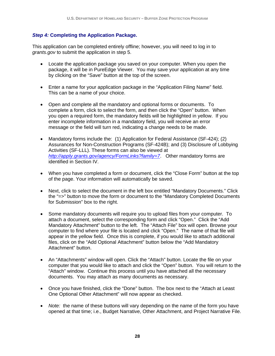#### *Step 4:* **Completing the Application Package.**

This application can be completed entirely offline; however, you will need to log in to *grants.gov* to submit the application in step 5.

- Locate the application package you saved on your computer. When you open the package, it will be in PureEdge Viewer. You may save your application at any time by clicking on the "Save" button at the top of the screen.
- Enter a name for your application package in the "Application Filing Name" field. This can be a name of your choice.
- Open and complete all the mandatory and optional forms or documents. To complete a form, click to select the form, and then click the "Open" button. When you open a required form, the mandatory fields will be highlighted in yellow. If you enter incomplete information in a mandatory field, you will receive an error message or the field will turn red, indicating a change needs to be made.
- Mandatory forms include the: (1) Application for Federal Assistance (SF-424); (2) Assurances for Non-Construction Programs (SF-424B); and (3) Disclosure of Lobbying Activities (SF-LLL). These forms can also be viewed at *http://apply.grants.gov/agency/FormLinks?family=7*. Other mandatory forms are identified in Section IV.
- When you have completed a form or document, click the "Close Form" button at the top of the page. Your information will automatically be saved.
- Next, click to select the document in the left box entitled "Mandatory Documents." Click the "=>" button to move the form or document to the "Mandatory Completed Documents for Submission" box to the right.
- Some mandatory documents will require you to upload files from your computer. To attach a document, select the corresponding form and click "Open." Click the "Add Mandatory Attachment" button to the left. The "Attach File" box will open. Browse your computer to find where your file is located and click "Open." The name of that file will appear in the yellow field. Once this is complete, if you would like to attach additional files, click on the "Add Optional Attachment" button below the "Add Mandatory Attachment" button.
- An "Attachments" window will open. Click the "Attach" button. Locate the file on your computer that you would like to attach and click the "Open" button. You will return to the "Attach" window. Continue this process until you have attached all the necessary documents. You may attach as many documents as necessary.
- Once you have finished, click the "Done" button. The box next to the "Attach at Least One Optional Other Attachment" will now appear as checked.
- *Note:* the name of these buttons will vary depending on the name of the form you have opened at that time; i.e., Budget Narrative, Other Attachment, and Project Narrative File.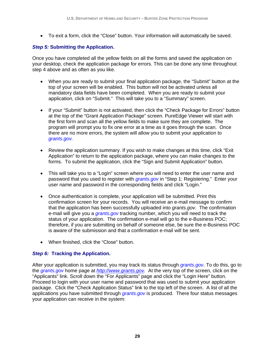• To exit a form, click the "Close" button. Your information will automatically be saved.

#### *Step 5:* **Submitting the Application.**

Once you have completed all the yellow fields on all the forms and saved the application on your desktop, check the application package for errors. This can be done any time throughout step 4 above and as often as you like.

- When you are ready to submit your final application package, the "Submit" button at the top of your screen will be enabled. This button will not be activated unless all mandatory data fields have been completed. When you are ready to submit your application, click on "Submit." This will take you to a "Summary" screen.
- If your "Submit" button is not activated, then click the "Check Package for Errors" button at the top of the "Grant Application Package" screen. PureEdge Viewer will start with the first form and scan all the yellow fields to make sure they are complete. The program will prompt you to fix one error at a time as it goes through the scan. Once there are no more errors, the system will allow you to submit your application to *grants.gov.*
- Review the application summary. If you wish to make changes at this time, click "Exit Application" to return to the application package, where you can make changes to the forms. To submit the application, click the "Sign and Submit Application" button.
- This will take you to a "Login" screen where you will need to enter the user name and password that you used to register with *grants.gov* in "Step 1: Registering." Enter your user name and password in the corresponding fields and click "Login."
- Once authentication is complete, your application will be submitted. Print this confirmation screen for your records. You will receive an e-mail message to confirm that the application has been successfully uploaded into *grants.gov*. The confirmation e-mail will give you a *grants.gov* tracking number, which you will need to track the status of your application. The confirmation e-mail will go to the e-Business POC; therefore, if you are submitting on behalf of someone else, be sure the e-Business POC is aware of the submission and that a confirmation e-mail will be sent.
- When finished, click the "Close" button.

#### *Step 6:* **Tracking the Application.**

After your application is submitted, you may track its status through *grants.gov*. To do this, go to the *grants.gov* home page at *http://www.grants.gov.* At the very top of the screen, click on the "Applicants" link. Scroll down the "For Applicants" page and click the "Login Here" button. Proceed to login with your user name and password that was used to submit your application package. Click the "Check Application Status" link to the top left of the screen. A list of all the applications you have submitted through *grants.gov* is produced. There four status messages your application can receive in the system: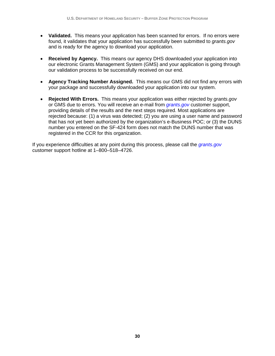- **Validated.** This means your application has been scanned for errors. If no errors were found, it validates that your application has successfully been submitted to *grants.gov* and is ready for the agency to download your application.
- **Received by Agency.** This means our agency DHS downloaded your application into our electronic Grants Management System (GMS) and your application is going through our validation process to be successfully received on our end.
- **Agency Tracking Number Assigned.** This means our GMS did not find any errors with your package and successfully downloaded your application into our system.
- **Rejected With Errors.** This means your application was either rejected by *grants.gov* or GMS due to errors. You will receive an e-mail from *grants.gov* customer support, providing details of the results and the next steps required. Most applications are rejected because: (1) a virus was detected; (2) you are using a user name and password that has not yet been authorized by the organization's e-Business POC; or (3) the DUNS number you entered on the SF-424 form does not match the DUNS number that was registered in the CCR for this organization.

If you experience difficulties at any point during this process, please call the *grants.gov* customer support hotline at 1–800–518–4726.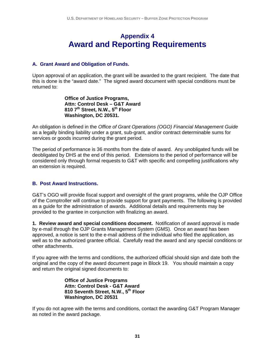# **Appendix 4 Award and Reporting Requirements**

#### **A. Grant Award and Obligation of Funds.**

Upon approval of an application, the grant will be awarded to the grant recipient. The date that this is done is the "award date." The signed award document with special conditions must be returned to:

> **Office of Justice Programs, Attn: Control Desk – G&T Award 810 7th Street, N.W., 5th Floor Washington, DC 20531.**

An obligation is defined in the *Office of Grant Operations (OGO) Financial Management Guide* as a legally binding liability under a grant, sub-grant, and/or contract determinable sums for services or goods incurred during the grant period.

The period of performance is 36 months from the date of award. Any unobligated funds will be deobligated by DHS at the end of this period. Extensions to the period of performance will be considered only through formal requests to G&T with specific and compelling justifications why an extension is required.

#### **B. Post Award Instructions.**

G&T's OGO will provide fiscal support and oversight of the grant programs, while the OJP Office of the Comptroller will continue to provide support for grant payments. The following is provided as a guide for the administration of awards. Additional details and requirements may be provided to the grantee in conjunction with finalizing an award.

**1. Review award and special conditions document.** Notification of award approval is made by e-mail through the OJP Grants Management System (GMS). Once an award has been approved, a notice is sent to the e-mail address of the individual who filed the application, as well as to the authorized grantee official.Carefully read the award and any special conditions or other attachments.

If you agree with the terms and conditions, the authorized official should sign and date both the original and the copy of the award document page in Block 19. You should maintain a copy and return the original signed documents to:

> **Office of Justice Programs Attn: Control Desk - G&T Award 810 Seventh Street, N.W., 5th Floor Washington, DC 20531**

If you do not agree with the terms and conditions, contact the awarding G&T Program Manager as noted in the award package.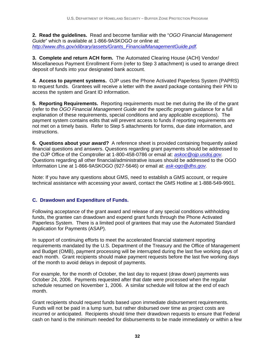**2. Read the guidelines.** Read and become familiar with the "*OGO Financial Management Guide*" which is available at 1-866-9ASKOGO or online at: *http://www.dhs.gov/xlibrary/assets/Grants\_FinancialManagementGuide.pdf.* 

**3. Complete and return ACH form.** The Automated Clearing House (ACH) Vendor/ Miscellaneous Payment Enrollment Form (refer to Step 3 attachment) is used to arrange direct deposit of funds into your designated bank account.

**4. Access to payment systems.** OJP uses the Phone Activated Paperless System (PAPRS) to request funds. Grantees will receive a letter with the award package containing their PIN to access the system and Grant ID information.

**5. Reporting Requirements.** Reporting requirements must be met during the life of the grant (refer to the *OGO Financial Management Guide* and the specific program guidance for a full explanation of these requirements, special conditions and any applicable exceptions). The payment system contains edits that will prevent access to funds if reporting requirements are not met on a timely basis. Refer to Step 5 attachments for forms, due date information, and instructions.

**6. Questions about your award?** A reference sheet is provided containing frequently asked financial questions and answers. Questions regarding grant payments should be addressed to the OJP Office of the Comptroller at 1-800-458-0786 or email at: *askoc@ojp.usdoj.gov.*  Questions regarding all other financial/administrative issues should be addressed to the OGO Information Line at 1-866-9ASKOGO (927-5646) or email at: *ask-ogo@dhs.gov.* 

Note: If you have any questions about GMS, need to establish a GMS account, or require technical assistance with accessing your award, contact the GMS Hotline at 1-888-549-9901.

#### **C. Drawdown and Expenditure of Funds.**

Following acceptance of the grant award and release of any special conditions withholding funds, the grantee can drawdown and expend grant funds through the Phone Activated Paperless System. There is a limited pool of grantees that may use the Automated Standard Application for Payments (ASAP).

In support of continuing efforts to meet the accelerated financial statement reporting requirements mandated by the U.S. Department of the Treasury and the Office of Management and Budget (OMB), payment processing will be interrupted during the last five working days of each month. Grant recipients should make payment requests before the last five working days of the month to avoid delays in deposit of payments.

For example, for the month of October, the last day to request (draw down) payments was October 24, 2006. Payments requested after that date were processed when the regular schedule resumed on November 1, 2006. A similar schedule will follow at the end of each month.

Grant recipients should request funds based upon immediate disbursement requirements. Funds will not be paid in a lump sum, but rather disbursed over time as project costs are incurred or anticipated. Recipients should time their drawdown requests to ensure that Federal cash on hand is the minimum needed for disbursements to be made immediately or within a few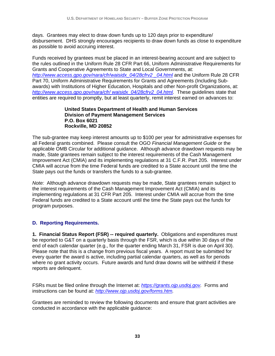days. Grantees may elect to draw down funds up to 120 days prior to expenditure/ disbursement. DHS strongly encourages recipients to draw down funds as close to expenditure as possible to avoid accruing interest.

Funds received by grantees must be placed in an interest-bearing account and are subject to the rules outlined in the Uniform Rule 28 CFR Part 66, Uniform Administrative Requirements for Grants and Cooperative Agreements to State and Local Governments, at: *http://www.access.gpo.gov/nara/cfr/waisidx\_04/28cfrv2 \_04.html* and the Uniform Rule 28 CFR Part 70, Uniform Administrative Requirements for Grants and Agreements (Including Subawards) with Institutions of Higher Education, Hospitals and other Non-profit Organizations, at: *http://www.access.gpo.gov/nara/cfr/ waisidx\_04/28cfrv2\_04.html.* These guidelines state that entities are required to promptly, but at least quarterly, remit interest earned on advances to:

#### **United States Department of Health and Human Services Division of Payment Management Services P.O. Box 6021 Rockville, MD 20852**

The sub-grantee may keep interest amounts up to \$100 per year for administrative expenses for all Federal grants combined. Please consult the OGO *Financial Management Guide* or the applicable OMB Circular for additional guidance. Although advance drawdown requests may be made, State grantees remain subject to the interest requirements of the Cash Management Improvement Act (CMIA) and its implementing regulations at 31 C.F.R. Part 205. Interest under CMIA will accrue from the time Federal funds are credited to a State account until the time the State pays out the funds or transfers the funds to a sub-grantee.

*Note:* Although advance drawdown requests may be made, State grantees remain subject to the interest requirements of the Cash Management Improvement Act (CMIA) and its implementing regulations at 31 CFR Part 205. Interest under CMIA will accrue from the time Federal funds are credited to a State account until the time the State pays out the funds for program purposes.

## **D. Reporting Requirements.**

**1. Financial Status Report (FSR) -- required quarterly.** Obligations and expenditures must be reported to G&T on a quarterly basis through the FSR, which is due within 30 days of the end of each calendar quarter (e.g., for the quarter ending March 31, FSR is due on April 30). Please note that this is a change from previous fiscal years. A report must be submitted for every quarter the award is active, including partial calendar quarters, as well as for periods where no grant activity occurs. Future awards and fund draw downs will be withheld if these reports are delinquent.

FSRs must be filed online through the Internet at: *https://grants.ojp.usdoj.gov.* Forms and instructions can be found at: *http://www.ojp.usdoj.gov/forms.htm.*

Grantees are reminded to review the following documents and ensure that grant activities are conducted in accordance with the applicable guidance: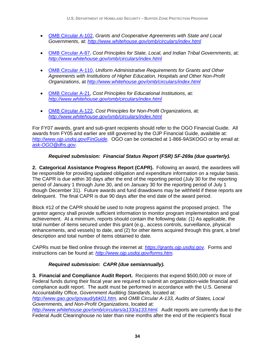- OMB Circular A-102, *Grants and Cooperative Agreements with State and Local Governments*, at: *http://www.whitehouse.gov/omb/circulars/index.html*
- OMB Circular A-87, *Cost Principles for State, Local, and Indian Tribal Governments,* at: *http://www.whitehouse.gov/omb/circulars/index.html*
- OMB Circular A-110, *Uniform Administrative Requirements for Grants and Other Agreements with Institutions of Higher Education, Hospitals and Other Non-Profit Organizations*, at *http://www.whitehouse.gov/omb/circulars/index.html*
- OMB Circular A-21, *Cost Principles for Educational Institutions,* at: *http://www.whitehouse.gov/omb/circulars/index.html*
- OMB Circular A-122, *Cost Principles for Non-Profit Organizations,* at: *http://www.whitehouse.gov/omb/circulars/index.html*

For FY07 awards, grant and sub-grant recipients should refer to the OGO Financial Guide. All awards from FY05 and earlier are still governed by the OJP Financial Guide, available at: *http://www.ojp.usdoj.gov/FinGuide.* OGO can be contacted at 1-866-9ASKOGO or by email at: *ask-OGO@dhs.gov.* 

## *Required submission: Financial Status Report (FSR) SF-269a (due quarterly).*

**2. Categorical Assistance Progress Report (CAPR).** Following an award, the awardees will be responsible for providing updated obligation and expenditure information on a regular basis. The CAPR is due within 30 days after the end of the reporting period (July 30 for the reporting period of January 1 through June 30, and on January 30 for the reporting period of July 1 though December 31). Future awards and fund drawdowns may be withheld if these reports are delinquent. The final CAPR is due 90 days after the end date of the award period.

Block #12 of the CAPR should be used to note progress against the proposed project. The grantor agency shall provide sufficient information to monitor program implementation and goal achievement. At a minimum, reports should contain the following data: (1) As applicable, the total number of items secured under this grant (e.g., access controls, surveillance, physical enhancements, and vessels) to date, and (2) for other items acquired through this grant, a brief description and total number of items obtained to date.

CAPRs must be filed online through the internet at: *https://grants.ojp.usdoj.gov.* Forms and instructions can be found at: *http://www.ojp.usdoj.gov/forms.htm.* 

## *Required submission: CAPR (due semiannually).*

**3. Financial and Compliance Audit Report.** Recipients that expend \$500,000 or more of Federal funds during their fiscal year are required to submit an organization-wide financial and compliance audit report. The audit must be performed in accordance with the U.S. General Accountability Office, *Government Auditing Standards*, located at:

*http://www.gao.gov/govaud/ybk01.htm*, and *OMB Circular A-133, Audits of States, Local Governments, and Non-Profit Organizations*, located at:

*http://www.whitehouse.gov/omb/circulars/a133/a133.html.* Audit reports are currently due to the Federal Audit Clearinghouse no later than nine months after the end of the recipient's fiscal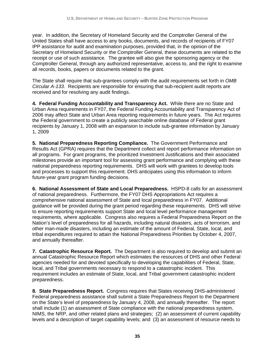year. In addition, the Secretary of Homeland Security and the Comptroller General of the United States shall have access to any books, documents, and records of recipients of FY07 IPP assistance for audit and examination purposes, provided that, in the opinion of the Secretary of Homeland Security or the Comptroller General, these documents are related to the receipt or use of such assistance. The grantee will also give the sponsoring agency or the Comptroller General, through any authorized representative, access to, and the right to examine all records, books, papers or documents related to the grant.

The State shall require that sub-grantees comply with the audit requirements set forth in *OMB Circular A-133*. Recipients are responsible for ensuring that sub-recipient audit reports are received and for resolving any audit findings.

**4. Federal Funding Accountability and Transparency Act.** While there are no State and Urban Area requirements in FY07, the Federal Funding Accountability and Transparency Act of 2006 may affect State and Urban Area reporting requirements in future years. The Act requires the Federal government to create a publicly searchable online database of Federal grant recipients by January 1, 2008 with an expansion to include sub-grantee information by January 1, 2009

**5. National Preparedness Reporting Compliance.** The Government Performance and Results Act (GPRA) requires that the Department collect and report performance information on all programs. For grant programs, the prioritized Investment Justifications and their associated milestones provide an important tool for assessing grant performance and complying with these national preparedness reporting requirements. DHS will work with grantees to develop tools and processes to support this requirement. DHS anticipates using this information to inform future-year grant program funding decisions.

**6. National Assessment of State and Local Preparedness.**HSPD-8 calls for an assessment of national preparedness. Furthermore, the FY07 DHS Appropriations Act requires a comprehensive national assessment of State and local preparedness in FY07. Additional guidance will be provided during the grant period regarding these requirements. DHS will strive to ensure reporting requirements support State and local level performance management requirements, where applicable. Congress also requires a Federal Preparedness Report on the Nation's level of preparedness for all hazards, including natural disasters, acts of terrorism, and other man-made disasters, including an estimate of the amount of Federal, State, local, and tribal expenditures required to attain the National Preparedness Priorities by October 4, 2007, and annually thereafter.

**7. Catastrophic Resource Report.** The Department is also required to develop and submit an annual Catastrophic Resource Report which estimates the resources of DHS and other Federal agencies needed for and devoted specifically to developing the capabilities of Federal, State, local, and Tribal governments necessary to respond to a catastrophic incident. This requirement includes an estimate of State, local, and Tribal government catastrophic incident preparedness.

**8. State Preparedness Report.**Congress requires that States receiving DHS-administered Federal preparedness assistance shall submit a State Preparedness Report to the Department on the State's level of preparedness by January 4, 2008, and annually thereafter. The report shall include (1) an assessment of State compliance with the national preparedness system, NIMS, the NRP, and other related plans and strategies; (2) an assessment of current capability levels and a description of target capability levels; and (3) an assessment of resource needs to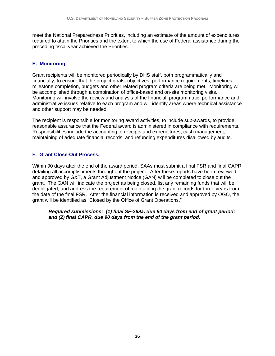meet the National Preparedness Priorities, including an estimate of the amount of expenditures required to attain the Priorities and the extent to which the use of Federal assistance during the preceding fiscal year achieved the Priorities.

#### **E. Monitoring.**

Grant recipients will be monitored periodically by DHS staff, both programmatically and financially, to ensure that the project goals, objectives, performance requirements, timelines, milestone completion, budgets and other related program criteria are being met. Monitoring will be accomplished through a combination of office-based and on-site monitoring visits. Monitoring will involve the review and analysis of the financial, programmatic, performance and administrative issues relative to each program and will identify areas where technical assistance and other support may be needed.

The recipient is responsible for monitoring award activities, to include sub-awards, to provide reasonable assurance that the Federal award is administered in compliance with requirements. Responsibilities include the accounting of receipts and expenditures, cash management, maintaining of adequate financial records, and refunding expenditures disallowed by audits.

#### **F. Grant Close-Out Process.**

Within 90 days after the end of the award period, SAAs must submit a final FSR and final CAPR detailing all accomplishments throughout the project. After these reports have been reviewed and approved by G&T, a Grant Adjustment Notice (GAN) will be completed to close out the grant. The GAN will indicate the project as being closed, list any remaining funds that will be deobligated, and address the requirement of maintaining the grant records for three years from the date of the final FSR. After the financial information is received and approved by OGO, the grant will be identified as "Closed by the Office of Grant Operations."

*Required submissions: (1) final SF-269a, due 90 days from end of grant period; and (2) final CAPR, due 90 days from the end of the grant period.*